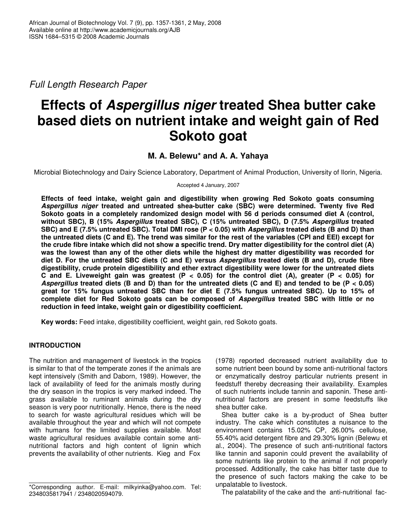*Full Length Research Paper*

# **Effects of** *Aspergillus niger* **treated Shea butter cake based diets on nutrient intake and weight gain of Red Sokoto goat**

# **M. A. Belewu\* and A. A. Yahaya**

Microbial Biotechnology and Dairy Science Laboratory, Department of Animal Production, University of Ilorin, Nigeria.

Accepted 4 January, 2007

**Effects of feed intake, weight gain and digestibility when growing Red Sokoto goats consuming** *Aspergillus niger* **treated and untreated shea-butter cake (SBC) were determined. Twenty five Red Sokoto goats in a completely randomized design model with 56 d periods consumed diet A (control, without SBC), B (15%** *Aspergillus* **treated SBC), C (15% untreated SBC), D (7.5%** *Aspergillus* **treated** SBC) and E (7.5% untreated SBC). Total DMI rose (P < 0.05) with Aspergillus treated diets (B and D) than the untreated diets (C and E). The trend was similar for the rest of the variables (CPI and EEI) except for the crude fibre intake which did not show a specific trend. Dry matter digestibility for the control diet (A) was the lowest than any of the other diets while the highest dry matter digestibility was recorded for diet D. For the untreated SBC diets (C and E) versus Aspergillus treated diets (B and D), crude fibre **digestibility, crude protein digestibility and ether extract digestibility were lower for the untreated diets** C and E. Liveweight gain was greatest (P < 0.05) for the control diet (A), greater (P < 0.05) for Aspergillus treated diets (B and D) than for the untreated diets (C and E) and tended to be (P < 0.05) **great for 15% fungus untreated SBC than for diet E (7.5% fungus untreated SBC). Up to 15% of complete diet for Red Sokoto goats can be composed of** *Aspergillus* **treated SBC with little or no reduction in feed intake, weight gain or digestibility coefficient.**

**Key words:** Feed intake, digestibility coefficient, weight gain, red Sokoto goats.

# **INTRODUCTION**

The nutrition and management of livestock in the tropics is similar to that of the temperate zones if the animals are kept intensively (Smith and Daborn, 1989). However, the lack of availability of feed for the animals mostly during the dry season in the tropics is very marked indeed. The grass available to ruminant animals during the dry season is very poor nutritionally. Hence, there is the need to search for waste agricultural residues which will be available throughout the year and which will not compete with humans for the limited supplies available. Most waste agricultural residues available contain some antinutritional factors and high content of lignin which prevents the availability of other nutrients. Kieg and Fox

(1978) reported decreased nutrient availability due to some nutrient been bound by some anti-nutritional factors or enzymatically destroy particular nutrients present in feedstuff thereby decreasing their availability. Examples of such nutrients include tannin and saponin. These antinutritional factors are present in some feedstuffs like shea butter cake.

Shea butter cake is a by-product of Shea butter industry. The cake which constitutes a nuisance to the environment contains 15.02% CP, 26.00% cellulose, 55.40% acid detergent fibre and 29.30% lignin (Belewu et al., 2004). The presence of such anti-nutritional factors like tannin and saponin could prevent the availability of some nutrients like protein to the animal if not properly processed. Additionally, the cake has bitter taste due to the presence of such factors making the cake to be unpalatable to livestock.

The palatability of the cake and the anti-nutritional fac-

<sup>\*</sup>Corresponding author. E-mail: milkyinka@yahoo.com. Tel: 2348035817941 / 2348020594079.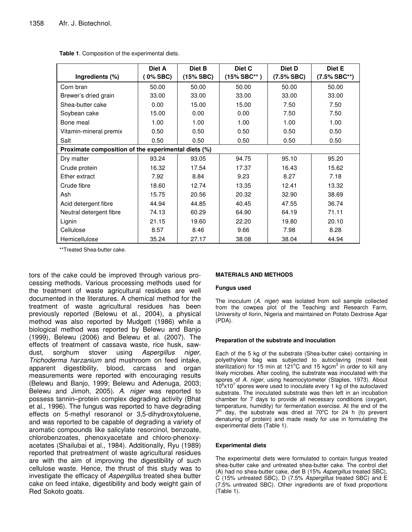| Ingredients (%)                                     | Diet A<br>0% SBC) | Diet B<br>(15% SBC) | Diet C<br>(15% SBC** ) | Diet D<br>(7.5% SBC) | Diet E<br>$(7.5\% SBC^{**})$ |  |  |  |  |
|-----------------------------------------------------|-------------------|---------------------|------------------------|----------------------|------------------------------|--|--|--|--|
| Corn bran                                           | 50.00             | 50.00               | 50.00                  | 50.00                | 50.00                        |  |  |  |  |
| Brewer's dried grain                                | 33.00             | 33.00               | 33.00                  | 33.00                | 33.00                        |  |  |  |  |
| Shea-butter cake                                    | 0.00              | 15.00               | 15.00                  | 7.50                 | 7.50                         |  |  |  |  |
| Soybean cake                                        | 15.00             | 0.00                | 0.00                   | 7.50                 | 7.50                         |  |  |  |  |
| Bone meal                                           | 1.00              | 1.00                | 1.00                   | 1.00                 | 1.00                         |  |  |  |  |
| Vitamin-mineral premix                              | 0.50              | 0.50                | 0.50                   | 0.50                 | 0.50                         |  |  |  |  |
| Salt                                                | 0.50              | 0.50                | 0.50                   | 0.50                 | 0.50                         |  |  |  |  |
| Proximate composition of the experimental diets (%) |                   |                     |                        |                      |                              |  |  |  |  |
| Dry matter                                          | 93.24             | 93.05               | 94.75                  | 95.10                | 95.20                        |  |  |  |  |
| Crude protein                                       | 16.32             | 17.54               | 17.37                  | 16.43                | 15.62                        |  |  |  |  |
| Ether extract                                       | 7.92              | 8.84                | 9.23                   | 8.27                 | 7.18                         |  |  |  |  |
| Crude fibre                                         | 18.60             | 12.74               | 13.35                  | 12.41                | 13.32                        |  |  |  |  |
| Ash                                                 | 15.75             | 20.56               | 20.32                  | 32.90                | 38.69                        |  |  |  |  |
| Acid detergent fibre                                | 44.94             | 44.85               | 40.45                  | 47.55                | 36.74                        |  |  |  |  |
| Neutral detergent fibre                             | 74.13             | 60.29               | 64.90                  | 64.19                | 71.11                        |  |  |  |  |
| Lignin                                              | 21.15             | 19.60               | 22.20                  | 19.80                | 20.10                        |  |  |  |  |
| Cellulose                                           | 8.57              | 8.46                | 9.66                   | 7.98                 | 8.28                         |  |  |  |  |
| Hemicellulose                                       | 35.24             | 27.17               | 38.08                  | 38.04                | 44.94                        |  |  |  |  |

**Table 1**. Composition of the experimental diets.

\*\*Treated Shea-butter cake.

tors of the cake could be improved through various processing methods. Various processing methods used for the treatment of waste agricultural residues are well documented in the literatures. A chemical method for the treatment of waste agricultural residues has been previously reported (Belewu et al., 2004), a physical method was also reported by Mudgett (1986) while a biological method was reported by Belewu and Banjo (1999), Belewu (2006) and Belewu et al. (2007). The effects of treatment of cassava waste, rice husk, sawdust, sorghum stover using *Aspergillus niger, Trichoderma harzanium* and mushroom on feed intake, apparent digestibility, blood, carcass and organ measurements were reported with encouraging results (Belewu and Banjo, 1999; Belewu and Adenuga, 2003; Belewu and Jimoh, 2005). *A*. *niger* was reported to possess tannin–protein complex degrading activity (Bhat et al., 1996). The fungus was reported to have degrading effects on 5-methyl resoranol or 3,5-dihydroxytoluene, and was reported to be capable of degrading a variety of aromatic compounds like salicylate resorcinol, benzoate, chlorobenzoates, phenoxyacetate and chloro-phenoxyacetates (Shailubai et al., 1984). Additionally, Ryu (1989) reported that pretreatment of waste agricultural residues are with the aim of improving the digestibility of such cellulose waste. Hence, the thrust of this study was to investigate the efficacy of *Aspergillus* treated shea butter cake on feed intake, digestibility and body weight gain of Red Sokoto goats.

# **MATERIALS AND METHODS**

## **Fungus used**

The inoculum (*A. niger*) was isolated from soil sample collected from the cowpea plot of the Teaching and Research Farm, University of Ilorin, Nigeria and maintained on Potato Dextrose Agar (PDA).

# **Preparation of the substrate and inoculation**

Each of the 5 kg of the substrate (Shea-butter cake) containing in polyethylene bag was subjected to autoclaving (moist heat sterilization) for 15 min at 121°C and 15 kgcm<sup>3</sup> in order to kill any likely microbes. After cooling, the substrate was inoculated with the spores of *A. niger*, using heamocytometer (Staples, 1973). About 10<sup>6</sup>x10<sup>7</sup> spores were used to inoculate every 1 kg of the autoclaved substrate. The inoculated substrate was then left in an incubation chamber for 7 days to provide all necessary conditions (oxygen, temperature, humidity) for fermentation exercise. At the end of the  $7<sup>th</sup>$  day, the substrate was dried at 70 $^{\circ}$ C for 24 h (to prevent denaturing of protein) and made ready for use in formulating the experimental diets (Table 1).

# **Experimental diets**

The experimental diets were formulated to contain fungus treated shea-butter cake and untreated shea-butter cake. The control diet (A) had no shea-butter cake, diet B (15% *Aspergillus* treated SBC), C (15% untreated SBC), D (7.5% *Aspergillus* treated SBC) and E (7.5% untreated SBC). Other ingredients are of fixed proportions (Table 1).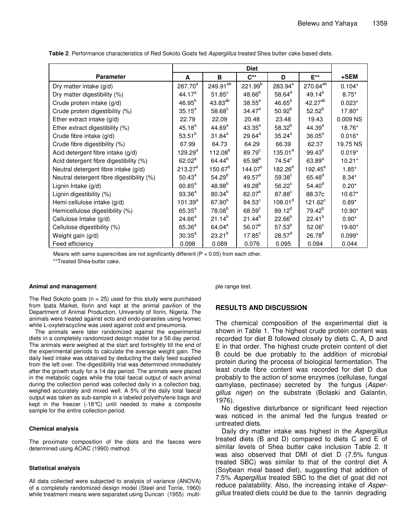| <b>Parameter</b>                          | A                  | B                    | $C^{**}$           | D                   | $E^{\star\star}$     | +SEM     |
|-------------------------------------------|--------------------|----------------------|--------------------|---------------------|----------------------|----------|
| Dry matter intake (g/d)                   | $287.70^{a}$       | 249.91 <sup>ab</sup> | $221.99^{b}$       | 283.94 <sup>a</sup> | 270.64 <sup>ab</sup> | $0.104*$ |
| Dry matter digestibility (%)              | 44.17 <sup>a</sup> | $51.85$ <sup>c</sup> | $48.66^{b}$        | $58.64^d$           | $49.14^{b}$          | $8.75*$  |
| Crude protein intake (g/d)                | $46.95^{b}$        | 43.83 <sup>ab</sup>  | $38.55^{\text{a}}$ | $46.65^{b}$         | 42.27 <sup>ab</sup>  | $0.023*$ |
| Crude protein digestibility (%)           | $35.15^a$          | $58.68^{\circ}$      | $34.47^a$          | $50.92^{b}$         | $52.52^{b}$          | 17.80*   |
| Ether extract intake $(g/d)$              | 22.79              | 22.09                | 20.48              | 23.48               | 19.43                | 0.009 NS |
| Ether extract digestibility (%)           | $45.18^{a}$        | 44.69 <sup>a</sup>   | $43.35^{a}$        | $58.32^{b}$         | $44.39^{a}$          | 18.76*   |
| Crude fibre intake (g/d)                  | $53.51^{b}$        | $31.84^{a}$          | $29.64^a$          | $35.24^{a}$         | $36.05^a$            | $0.016*$ |
| Crude fibre digestibility (%)             | 67.99              | 64.73                | 64.29              | 66.39               | 62.37                | 19.75 NS |
| Acid detergent fibre intake (g/d)         | 129.29 $^{\rm a}$  | $112.08^{b}$         | 89.79 <sup>c</sup> | $135.01^d$          | $99.43^e$            | $0.019*$ |
| Acid detergent fibre digestibility (%)    | $62.02^a$          | 64.44 <sup>b</sup>   | $65.98^{b}$        | $74.54^c$           | $63.89^{a}$          | $10.21*$ |
| Neutral detergent fibre intake (g/d)      | $213.27^a$         | $150.67^{b}$         | $144.07^{\circ}$   | $182.26^{d}$        | $192.45^\mathrm{e}$  | $1.85*$  |
| Neutral detergent fibre digestibility (%) | $50.43^a$          | $54.29^{b}$          | $49.57^a$          | 59.38 <sup>c</sup>  | $65.48^{d}$          | $8.34*$  |
| Lignin Intake (g/d)                       | $60.85^{\text{a}}$ | $48.98^{b}$          | $49.28^{b}$        | $56.22^{\circ}$     | $54.40^d$            | $0.20*$  |
| Lignin digestibility (%)                  | $93.36^{a}$        | $80.34^{b}$          | $82.07^{b}$        | $87.88^\circ$       | 88.37c               | $10.67*$ |
| Hemi cellulose intake (g/d)               | $101.39^{a}$       | $67.90^{b}$          | $84.53^c$          | 108.01 <sup>d</sup> | $121.62^c$           | $0.89*$  |
| Hemicellulose digestibility (%)           | $65.35^{a}$        | $78.08^{b}$          | $68.59^\circ$      | $89.12^{d}$         | $79.42^{b}$          | 10.90*   |
| Cellulose Intake (g/d)                    | $24.66^a$          | $21.14^{b}$          | $21.44^{b}$        | $22.66^{b}$         | $22.41^{b}$          | $0.90*$  |
| Cellulose digestibility (%)               | $65.36^{a}$        | $64.04^a$            | $56.07^{b}$        | $57.53^{b}$         | 52.06 <sup>c</sup>   | 19.60*   |
| Weight gain (g/d)                         | $30.35^{\circ}$    | $23.21^{b}$          | 17.85 <sup>c</sup> | $28.57^d$           | $26.78^{d}$          | $0.099*$ |
| Feed efficiency                           | 0.098              | 0.089                | 0.076              | 0.095               | 0.094                | 0.044    |

**Table 2**. Performance characteristics of Red Sokoto Goats fed *Aspergillus* treated Shea butter cake based diets.

Means with same superscribes are not significantly different ( $P < 0.05$ ) from each other.

\*\*Treated Shea-butter cake.

#### **Animal and management**

The Red Sokoto goats ( $n = 25$ ) used for this study were purchased from Ipata Market, Ilorin and kept at the animal pavilion of the Department of Animal Production, University of Ilorin, Nigeria. The animals were treated against ecto and endo-parasites using Ivomec while L-oxytetracycline was used against cold and pneumonia.

The animals were later randomized against the experimental diets in a completely randomized design model for a 56 day period. The animals were weighed at the start and fortnightly till the end of the experimental periods to calculate the average weight gain. The daily feed intake was obtained by deducting the daily feed supplied from the left over. The digestibility trial was determined immediately after the growth study for a 14 day period. The animals were placed in the metabolic cages while the total faecal output of each animal during the collection period was collected daily in a collection bag, weighed accurately and mixed well. A 5% of the daily total faecal output was taken as sub-sample in a labeled polyethylene bags and kept in the freezer (-18°C) until needed to make a composite sample for the entire collection period.

## **Chemical analysis**

The proximate composition of the diets and the faeces were determined using AOAC (1990) method.

## **Statistical analysis**

All data collected were subjected to analysis of variance (ANOVA) of a completely randomized design model (Steel and Torrie, 1960) while treatment means were separated using Duncan (1955) multiple range test.

# **RESULTS AND DISCUSSION**

The chemical composition of the experimental diet is shown in Table 1. The highest crude protein content was recorded for diet B followed closely by diets C, A, D and E in that order. The highest crude protein content of diet B could be due probably to the addition of microbial protein during the process of biological fermentation. The least crude fibre content was recorded for diet D due probably to the action of some enzymes (cellulase, fungal amylase, pectinase) secreted by the fungus (*Aspergillus niger*) on the substrate (Bolaski and Galantin, 1976).

No digestive disturbance or significant feed rejection was noticed in the animal fed the fungus treated or untreated diets.

Daily dry matter intake was highest in the *Aspergillus* treated diets (B and D) compared to diets C and E of similar levels of Shea butter cake inclusion Table 2. It was also observed that DMI of diet D (7.5% fungus treated SBC) was similar to that of the control diet A (Soybean meal based diet), suggesting that addition of 7.5% *Aspergillus* treated SBC to the diet of goat did not reduce palatability. Also, the increasing intake of *Aspergillus* treated diets could be due to the tannin degrading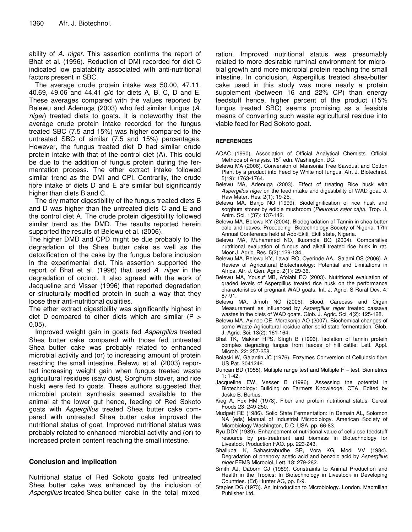ability of *A. niger*. This assertion confirms the report of Bhat et al. (1996). Reduction of DMI recorded for diet C indicated low palatability associated with anti-nutritional factors present in SBC.

The average crude protein intake was 50.00, 47.11, 40.69, 49.06 and 44.41 g/d for diets A, B, C, D and E. These averages compared with the values reported by Belewu and Adenuga (2003) who fed similar fungus (*A. niger*) treated diets to goats. It is noteworthy that the average crude protein intake recorded for the fungus treated SBC (7.5 and 15%) was higher compared to the untreated SBC of similar (7.5 and 15%) percentages. However, the fungus treated diet D had similar crude protein intake with that of the control diet (A). This could be due to the addition of fungus protein during the fermentation process. The ether extract intake followed similar trend as the DMI and CPI. Contrarily, the crude fibre intake of diets D and E are similar but significantly higher than diets B and C.

The dry matter digestibility of the fungus treated diets B and D was higher than the untreated diets C and E and the control diet A. The crude protein digestibility followed similar trend as the DMD. The results reported herein supported the results of Belewu et al*.* (2006).

The higher DMD and CPD might be due probably to the degradation of the Shea butter cake as well as the detoxification of the cake by the fungus before inclusion in the experimental diet. This assertion supported the report of Bhat et al. (1996) that used *A. niger* in the degradation of orcinol. It also agreed with the work of Jacqueline and Visser (1996) that reported degradation or structurally modified protein in such a way that they loose their anti-nutritional qualities.

The ether extract digestibility was significantly highest in diet D compared to other diets which are similar  $(P >$ 0.05).

Improved weight gain in goats fed *Aspergillus* treated Shea butter cake compared with those fed untreated Shea butter cake was probably related to enhanced microbial activity and (or) to increasing amount of protein reaching the small intestine. Belewu et al. (2003) reported increasing weight gain when fungus treated waste agricultural residues (saw dust, Sorghum stover, and rice husk) were fed to goats. These authors suggested that microbial protein synthesis seemed available to the animal at the lower gut hence, feeding of Red Sokoto goats with *Aspergillus* treated Shea butter cake compared with untreated Shea butter cake improved the nutritional status of goat. Improved nutritional status was probably related to enhanced microbial activity and (or) to increased protein content reaching the small intestine.

# **Conclusion and implication**

Nutritional status of Red Sokoto goats fed untreated Shea butter cake was enhanced by the inclusion of *Aspergillus* treated Shea butter cake in the total mixed

ration. Improved nutritional status was presumably related to more desirable ruminal environment for microbial growth and more microbial protein reaching the small intestine. In conclusion, Aspergillus treated shea-butter cake used in this study was more nearly a protein supplement (between 16 and 22% CP) than energy feedstuff hence, higher percent of the product (15% fungus treated SBC) seems promising as a feasible means of converting such waste agricultural residue into viable feed for Red Sokoto goat.

# **REFERENCES**

- AOAC (1990). Association of Official Analytical Chemists. Official Methods of Analysis. 15<sup>th</sup> edn. Washington. DC.
- Belewu MA (2006). Conversion of Mansonia Tree Sawdust and Cotton Plant by a product into Feed by White not fungus. Afr. J. Biotechnol. 5(19): 1763-1764.
- Belewu MA, Adenuga (2003). Effect of treating Rice husk with *Aspergillus niger* on the feed intake and digestibility of WAD goat. J. Raw Mater. Res. 2(1): 19-25.
- Belewu MA, Banjo NO (1999). Biodelignification of rice husk and sorghum stoner by edible mushroom (*Pleurotus sajor caju*). Trop. J. Anim. Sci. 1(37): 137-142.
- Belewu MA, Belewu KY (2004). Biodegradation of Tannin in shea butter cale and leaves. Proceeding Biotechnology Society of Nigeria. 17th Annual Conference held at Ado-Ekiti, Ekiti state, Nigeria.
- Belewu MA, Muhammed NO, Ikuomola BO (2004). Comparative nutritional evaluation of fungus and alkali treated rice husk in rat. Moor J. Agric. Res. 5(2): 129-134.
- Belewu MA, Belewu KY, Lawal RO, Oyerinde AA, Salami OS (2006). A Review of Agricultural Biotechnology: Potential and Limitations in Africa. Afr. J. Gen. Agric. 2(1): 29-36.
- Belewu MA, Yousuf MB, Afolabi EO (2003). Nutritional evaluation of graded levels of Aspergillus treated rice husk on the performance characteristics of pregnant WAD goats. Int. J. Agric. S Rural Dev. 4: 87-91.
- Belewu MA, Jimoh NO (2005). Blood, Carecass and Organ Measurement as influenced by *Aspergillus niger* treated cassava wastes in the diets of WAD goats. Glob. J. Agric. Sci. 4(2): 125-128.
- Belewu MA, Ayinde OE, Morakonjo AO (2007). Biochemical changes of some Waste Agricultural residue after solid state fermentation. Glob. J. Agric. Sci. 13(2): 161-164.
- Bhat TK, Makkar HPS, Singh B (1996). Isolation of tannin protein complex degrading fungus from faeces of hill cattle. Lett. Appl. Microb. 22: 257-258.
- Bolaski W, Galantin JC (1976). Enzymes Conversion of Cellulosic fibre US Pat. 3041246.
- Duncan BD (1955). Multiple range test and Multiple F test. Biometrics 1: 1-42.
- Jacqueline EW, Vesser B (1996). Assessing the potential in Biotechnology: Building on Farmers Knowledge. CTA. Edited by Joske B. Bertius.
- Kieg A, Fox HM (1978). Fiber and protein nutritional status. Cereal Foods 23: 249-250.
- Mudgett RE (1986). Solid State Fermentation: In Demain AL, Solomon NA (eds) Manual of Industrial Microbiology. American Society of Microbiology Washington, D.C. USA, pp. 66-83.
- Ryu DDY (1989). Enhancement of nutritional value of cellulose feedstuff resource by pre-treatment and biomass in Biotechnology for Livestock Production FAO. pp. 223-243.
- Shailubai K, Sahastrabudhe SR, Vora KG, Modi VV (1984). Degradation of phenoxy acetic acid and benzoic acid by *Aspergillus niger* FEMS Microbiol. Lett. 18: 279-282.
- Smith AJ, Daborn CJ (1989). Constraints to Animal Production and Health in the Tropics: In Biotechnology in Livestock in Developing Countries. (Ed) Hunter AG, pp. 8-9.
- Staples DG (1973). An Introduction to Microbiology. London. Macmillan Publisher Ltd.